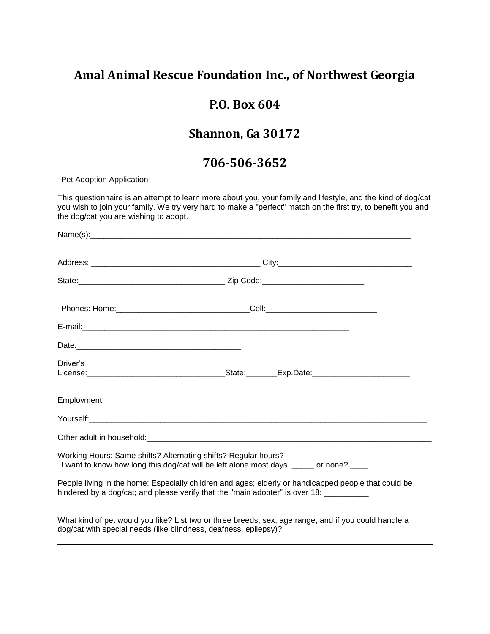## **Amal Animal Rescue Foundation Inc., of Northwest Georgia**

## **P.O. Box 604**

## **Shannon, Ga 30172**

## **706-506-3652**

Pet Adoption Application

This questionnaire is an attempt to learn more about you, your family and lifestyle, and the kind of dog/cat you wish to join your family. We try very hard to make a "perfect" match on the first try, to benefit you and the dog/cat you are wishing to adopt.

| Driver's                                                         | License: 2008. [2013] Changes 2014 1: 2014 1: 2014 1: 2014 1: 2014 1: 2014 1: 2014 1: 2014 1: 2014 1: 2014 1: 2014 1: 2014 1: 2014 1: 2014 1: 2014 1: 2014 1: 2014 1: 2014 1: 2014 1: 2014 1: 2014 1: 2014 1: 2014 1: 2014 1: |  |
|------------------------------------------------------------------|-------------------------------------------------------------------------------------------------------------------------------------------------------------------------------------------------------------------------------|--|
| Employment:                                                      |                                                                                                                                                                                                                               |  |
|                                                                  |                                                                                                                                                                                                                               |  |
|                                                                  |                                                                                                                                                                                                                               |  |
| Working Hours: Same shifts? Alternating shifts? Regular hours?   | I want to know how long this dog/cat will be left alone most days. ______ or none?                                                                                                                                            |  |
|                                                                  | People living in the home: Especially children and ages; elderly or handicapped people that could be<br>hindered by a dog/cat; and please verify that the "main adopter" is over 18: _________                                |  |
| dog/cat with special needs (like blindness, deafness, epilepsy)? | What kind of pet would you like? List two or three breeds, sex, age range, and if you could handle a                                                                                                                          |  |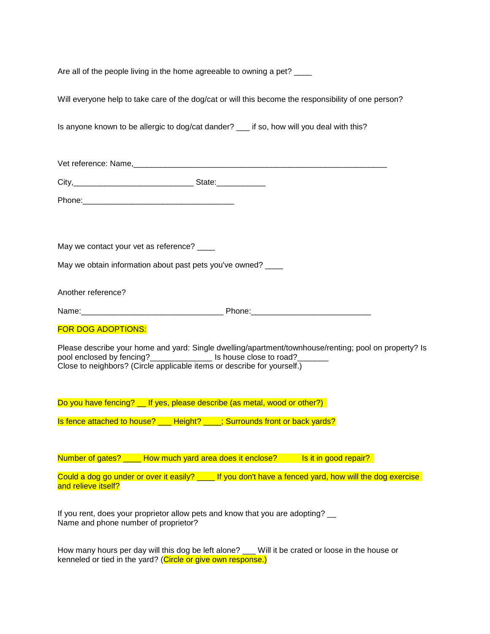Are all of the people living in the home agreeable to owning a pet?

Will everyone help to take care of the dog/cat or will this become the responsibility of one person?

Is anyone known to be allergic to dog/cat dander? \_\_\_ if so, how will you deal with this?

| Vet reference: Name, |  |  |  |
|----------------------|--|--|--|
|                      |  |  |  |
|                      |  |  |  |

| City,  | State: |  |  |  |
|--------|--------|--|--|--|
|        |        |  |  |  |
| Phone: |        |  |  |  |

May we contact your vet as reference? \_\_\_\_

May we obtain information about past pets you've owned?

Another reference?

Name: the contract of the contract of the Phone:  $\Box$  Phone:

FOR DOG ADOPTIONS:

Please describe your home and yard: Single dwelling/apartment/townhouse/renting; pool on property? Is pool enclosed by fencing?\_\_\_\_\_\_\_\_\_\_\_\_\_\_\_\_\_\_ Is house close to road?\_\_\_\_\_\_\_\_ Close to neighbors? (Circle applicable items or describe for yourself.)

Do you have fencing? If yes, please describe (as metal, wood or other?)

Is fence attached to house? Leight? Surrounds front or back yards?

Number of gates? How much yard area does it enclose? Is it in good repair?

Could a dog go under or over it easily? If you don't have a fenced yard, how will the dog exercise and relieve itself?

If you rent, does your proprietor allow pets and know that you are adopting? \_\_ Name and phone number of proprietor?

How many hours per day will this dog be left alone? \_\_\_ Will it be crated or loose in the house or kenneled or tied in the yard? (Circle or give own response.)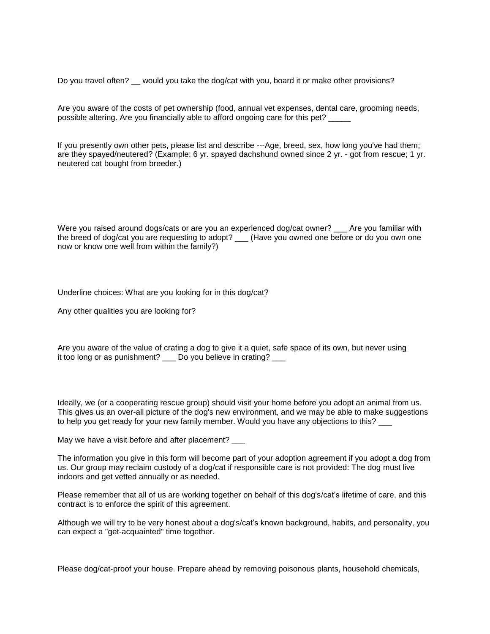Do you travel often? would you take the dog/cat with you, board it or make other provisions?

Are you aware of the costs of pet ownership (food, annual vet expenses, dental care, grooming needs, possible altering. Are you financially able to afford ongoing care for this pet?

If you presently own other pets, please list and describe ---Age, breed, sex, how long you've had them; are they spayed/neutered? (Example: 6 yr. spayed dachshund owned since 2 yr. - got from rescue; 1 yr. neutered cat bought from breeder.)

Were you raised around dogs/cats or are you an experienced dog/cat owner? \_\_\_ Are you familiar with the breed of dog/cat you are requesting to adopt? \_\_\_ (Have you owned one before or do you own one now or know one well from within the family?)

Underline choices: What are you looking for in this dog/cat?

Any other qualities you are looking for?

Are you aware of the value of crating a dog to give it a quiet, safe space of its own, but never using it too long or as punishment? Do you believe in crating?

Ideally, we (or a cooperating rescue group) should visit your home before you adopt an animal from us. This gives us an over-all picture of the dog's new environment, and we may be able to make suggestions to help you get ready for your new family member. Would you have any objections to this?

May we have a visit before and after placement?

The information you give in this form will become part of your adoption agreement if you adopt a dog from us. Our group may reclaim custody of a dog/cat if responsible care is not provided: The dog must live indoors and get vetted annually or as needed.

Please remember that all of us are working together on behalf of this dog's/cat's lifetime of care, and this contract is to enforce the spirit of this agreement.

Although we will try to be very honest about a dog's/cat's known background, habits, and personality, you can expect a "get-acquainted" time together.

Please dog/cat-proof your house. Prepare ahead by removing poisonous plants, household chemicals,